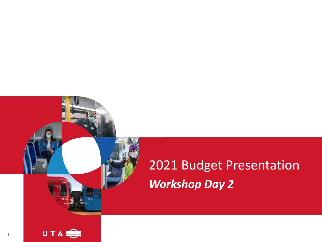# 2021 Budget Presentation *Workshop Day 2*

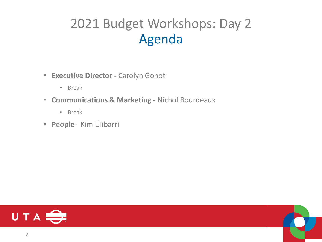### 2021 Budget Workshops: Day 2 Agenda

- **Executive Director -** Carolyn Gonot
	- Break
- **Communications & Marketing -** Nichol Bourdeaux
	- Break
- **People -** Kim Ulibarri



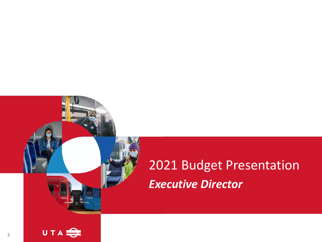# 2021 Budget Presentation *Executive Director*

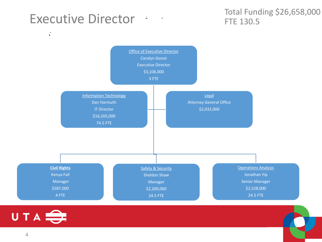#### Executive Director :

 $\vec{C}$ 

#### Total Funding \$26,658,000 FTE 130.5



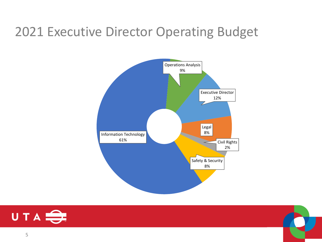#### 2021 Executive Director Operating Budget





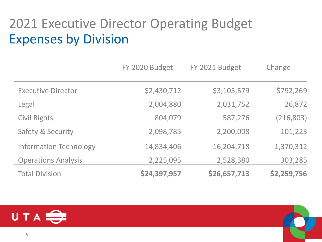### 2021 Executive Director Operating Budget Expenses by Division

|                               | FY 2020 Budget | FY 2021 Budget | Change      |
|-------------------------------|----------------|----------------|-------------|
| <b>Executive Director</b>     | \$2,430,712    | \$3,105,579    | \$792,269   |
| Legal                         | 2,004,880      | 2,031,752      | 26,872      |
| <b>Civil Rights</b>           | 804,079        | 587,276        | (216, 803)  |
| <b>Safety &amp; Security</b>  | 2,098,785      | 2,200,008      | 101,223     |
| <b>Information Technology</b> | 14,834,406     | 16,204,718     | 1,370,312   |
| <b>Operations Analysis</b>    | 2,225,095      | 2,528,380      | 303,285     |
| <b>Total Division</b>         | \$24,397,957   | \$26,657,713   | \$2,259,756 |

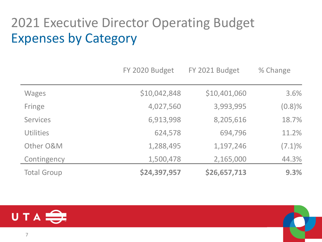### 2021 Executive Director Operating Budget Expenses by Category

|                    | FY 2020 Budget | FY 2021 Budget | % Change  |
|--------------------|----------------|----------------|-----------|
| <b>Wages</b>       | \$10,042,848   | \$10,401,060   | 3.6%      |
| Fringe             | 4,027,560      | 3,993,995      | $(0.8)\%$ |
| <b>Services</b>    | 6,913,998      | 8,205,616      | 18.7%     |
| <b>Utilities</b>   | 624,578        | 694,796        | 11.2%     |
| Other O&M          | 1,288,495      | 1,197,246      | $(7.1)\%$ |
| Contingency        | 1,500,478      | 2,165,000      | 44.3%     |
| <b>Total Group</b> | \$24,397,957   | \$26,657,713   | 9.3%      |

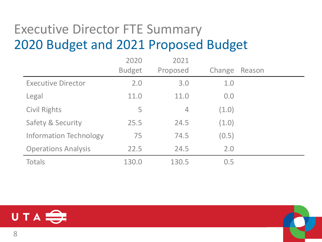### Executive Director FTE Summary 2020 Budget and 2021 Proposed Budget

|                               | 2020          | 2021           |        |        |
|-------------------------------|---------------|----------------|--------|--------|
|                               | <b>Budget</b> | Proposed       | Change | Reason |
| <b>Executive Director</b>     | 2.0           | 3.0            | 1.0    |        |
| Legal                         | 11.0          | 11.0           | 0.0    |        |
| <b>Civil Rights</b>           | 5             | $\overline{4}$ | (1.0)  |        |
| Safety & Security             | 25.5          | 24.5           | (1.0)  |        |
| <b>Information Technology</b> | 75            | 74.5           | (0.5)  |        |
| <b>Operations Analysis</b>    | 22.5          | 24.5           | 2.0    |        |
| Totals                        | 130.0         | 130.5          | 0.5    |        |

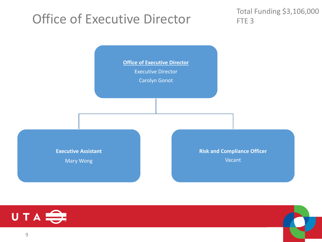### Office of Executive Director

Total Funding \$3,106,000 FTE<sub>3</sub>



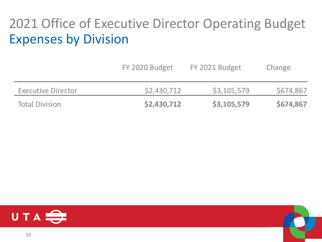### 2021 Office of Executive Director Operating Budget Expenses by Division

|                           | FY 2020 Budget | FY 2021 Budget | Change    |
|---------------------------|----------------|----------------|-----------|
| <b>Executive Director</b> | \$2,430,712    | \$3,105,579    | \$674,867 |
| <b>Total Division</b>     | \$2,430,712    | \$3,105,579    | \$674,867 |

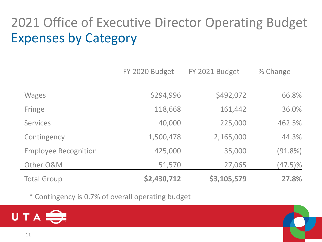## 2021 Office of Executive Director Operating Budget Expenses by Category

|                             | FY 2020 Budget | FY 2021 Budget | % Change   |
|-----------------------------|----------------|----------------|------------|
| <b>Wages</b>                | \$294,996      | \$492,072      | 66.8%      |
| Fringe                      | 118,668        | 161,442        | 36.0%      |
| <b>Services</b>             | 40,000         | 225,000        | 462.5%     |
| Contingency                 | 1,500,478      | 2,165,000      | 44.3%      |
| <b>Employee Recognition</b> | 425,000        | 35,000         | (91.8%)    |
| Other O&M                   | 51,570         | 27,065         | $(47.5)\%$ |
| <b>Total Group</b>          | \$2,430,712    | \$3,105,579    | 27.8%      |

\* Contingency is 0.7% of overall operating budget

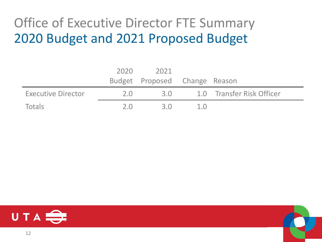### Office of Executive Director FTE Summary 2020 Budget and 2021 Proposed Budget

|                    | 2020 | 2021                          |     |                           |
|--------------------|------|-------------------------------|-----|---------------------------|
|                    |      | Budget Proposed Change Reason |     |                           |
| Executive Director | 2.0  | 3.0                           |     | 1.0 Transfer Risk Officer |
| Totals             | 20   | 3 Q                           | 1.0 |                           |



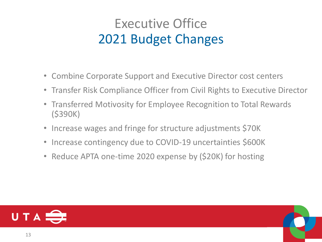### Executive Office 2021 Budget Changes

- Combine Corporate Support and Executive Director cost centers
- Transfer Risk Compliance Officer from Civil Rights to Executive Director
- Transferred Motivosity for Employee Recognition to Total Rewards (\$390K)
- Increase wages and fringe for structure adjustments \$70K
- Increase contingency due to COVID-19 uncertainties \$600K
- Reduce APTA one-time 2020 expense by (\$20K) for hosting

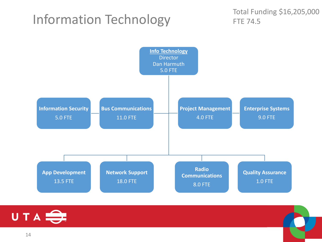#### Information Technology

Total Funding \$16,205,000 FTE 74.5



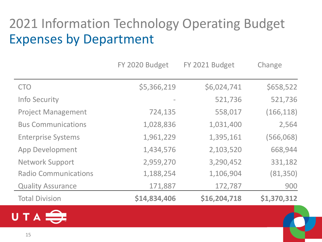### 2021 Information Technology Operating Budget Expenses by Department

|                             | FY 2020 Budget | FY 2021 Budget | Change      |
|-----------------------------|----------------|----------------|-------------|
| <b>CTO</b>                  | \$5,366,219    | \$6,024,741    | \$658,522   |
| <b>Info Security</b>        |                | 521,736        | 521,736     |
| <b>Project Management</b>   | 724,135        | 558,017        | (166, 118)  |
| <b>Bus Communications</b>   | 1,028,836      | 1,031,400      | 2,564       |
| <b>Enterprise Systems</b>   | 1,961,229      | 1,395,161      | (566,068)   |
| App Development             | 1,434,576      | 2,103,520      | 668,944     |
| <b>Network Support</b>      | 2,959,270      | 3,290,452      | 331,182     |
| <b>Radio Communications</b> | 1,188,254      | 1,106,904      | (81,350)    |
| <b>Quality Assurance</b>    | 171,887        | 172,787        | 900         |
| <b>Total Division</b>       | \$14,834,406   | \$16,204,718   | \$1,370,312 |

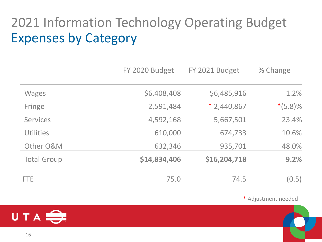## 2021 Information Technology Operating Budget Expenses by Category

|                    | FY 2020 Budget | FY 2021 Budget | % Change   |
|--------------------|----------------|----------------|------------|
| <b>Wages</b>       | \$6,408,408    | \$6,485,916    | 1.2%       |
| Fringe             | 2,591,484      | $*$ 2,440,867  | $*(5.8)\%$ |
| <b>Services</b>    | 4,592,168      | 5,667,501      | 23.4%      |
| <b>Utilities</b>   | 610,000        | 674,733        | 10.6%      |
| Other O&M          | 632,346        | 935,701        | 48.0%      |
| <b>Total Group</b> | \$14,834,406   | \$16,204,718   | 9.2%       |
| <b>FTE</b>         | 75.0           | 74.5           | (0.5)      |

\* Adjustment needed

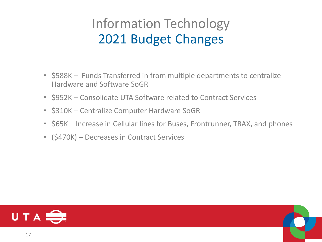### Information Technology 2021 Budget Changes

- \$588K Funds Transferred in from multiple departments to centralize Hardware and Software SoGR
- \$952K Consolidate UTA Software related to Contract Services
- \$310K Centralize Computer Hardware SoGR
- \$65K Increase in Cellular lines for Buses, Frontrunner, TRAX, and phones
- (\$470K) Decreases in Contract Services

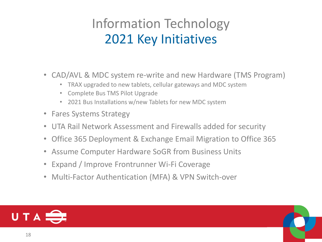### Information Technology 2021 Key Initiatives

- CAD/AVL & MDC system re-write and new Hardware (TMS Program)
	- TRAX upgraded to new tablets, cellular gateways and MDC system
	- Complete Bus TMS Pilot Upgrade
	- 2021 Bus Installations w/new Tablets for new MDC system
- Fares Systems Strategy
- UTA Rail Network Assessment and Firewalls added for security
- Office 365 Deployment & Exchange Email Migration to Office 365
- Assume Computer Hardware SoGR from Business Units
- Expand / Improve Frontrunner Wi-Fi Coverage
- Multi-Factor Authentication (MFA) & VPN Switch-over

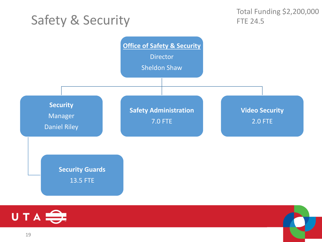#### Safety & Security



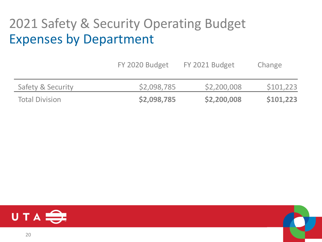### 2021 Safety & Security Operating Budget Expenses by Department

|                              | FY 2020 Budget | FY 2021 Budget | Change    |
|------------------------------|----------------|----------------|-----------|
| <b>Safety &amp; Security</b> | \$2,098,785    | \$2,200,008    | \$101,223 |
| <b>Total Division</b>        | \$2,098,785    | \$2,200,008    | \$101,223 |

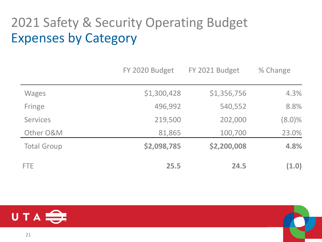## 2021 Safety & Security Operating Budget Expenses by Category

|                    | FY 2020 Budget | FY 2021 Budget | % Change  |
|--------------------|----------------|----------------|-----------|
| <b>Wages</b>       | \$1,300,428    | \$1,356,756    | 4.3%      |
| Fringe             | 496,992        | 540,552        | 8.8%      |
| <b>Services</b>    | 219,500        | 202,000        | $(8.0)\%$ |
| Other O&M          | 81,865         | 100,700        | 23.0%     |
| <b>Total Group</b> | \$2,098,785    | \$2,200,008    | 4.8%      |
| <b>FTE</b>         | 25.5           | 24.5           | (1.0)     |

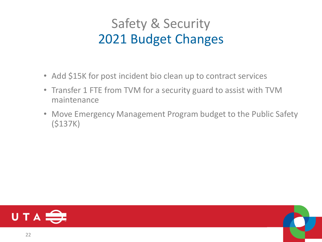### Safety & Security 2021 Budget Changes

- Add \$15K for post incident bio clean up to contract services
- Transfer 1 FTE from TVM for a security guard to assist with TVM maintenance
- Move Emergency Management Program budget to the Public Safety (\$137K)



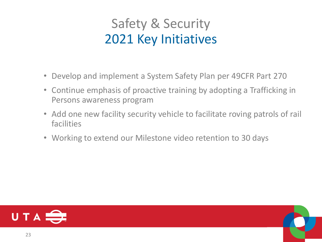### Safety & Security 2021 Key Initiatives

- Develop and implement a System Safety Plan per 49CFR Part 270
- Continue emphasis of proactive training by adopting a Trafficking in Persons awareness program
- Add one new facility security vehicle to facilitate roving patrols of rail facilities
- Working to extend our Milestone video retention to 30 days

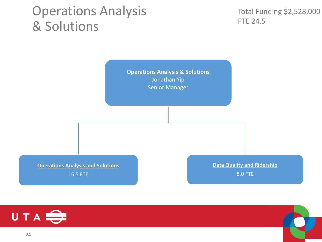#### Operations Analysis & Solutions

Total Funding \$2,528,000 FTE 24.5

**Operations Analysis & Solutions** Jonathan Yip Senior Manager

**Operations Analysis and Solutions**

16.5 FTE

**Data Quality and Ridership** 8.0 FTE



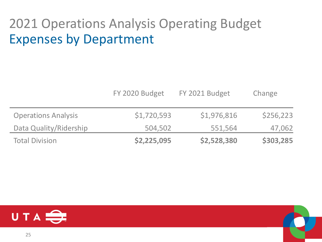### 2021 Operations Analysis Operating Budget Expenses by Department

|                            | FY 2020 Budget | FY 2021 Budget | Change    |
|----------------------------|----------------|----------------|-----------|
| <b>Operations Analysis</b> | \$1,720,593    | \$1,976,816    | \$256,223 |
| Data Quality/Ridership     | 504,502        | 551,564        | 47,062    |
| <b>Total Division</b>      | \$2,225,095    | \$2,528,380    | \$303,285 |

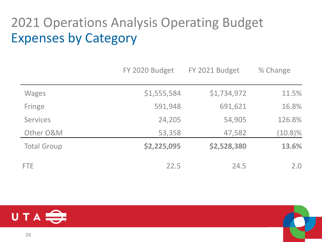### 2021 Operations Analysis Operating Budget Expenses by Category

|                    | FY 2020 Budget | FY 2021 Budget | % Change   |
|--------------------|----------------|----------------|------------|
| <b>Wages</b>       | \$1,555,584    | \$1,734,972    | 11.5%      |
| Fringe             | 591,948        | 691,621        | 16.8%      |
| <b>Services</b>    | 24,205         | 54,905         | 126.8%     |
| Other O&M          | 53,358         | 47,582         | $(10.8)\%$ |
| <b>Total Group</b> | \$2,225,095    | \$2,528,380    | 13.6%      |
| <b>FTE</b>         | 22.5           | 24.5           | 2.0        |

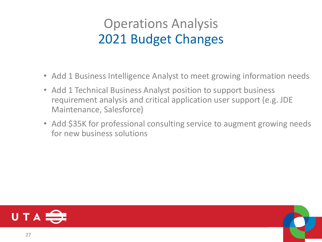### Operations Analysis 2021 Budget Changes

- Add 1 Business Intelligence Analyst to meet growing information needs
- Add 1 Technical Business Analyst position to support business requirement analysis and critical application user support (e.g. JDE Maintenance, Salesforce)
- Add \$35K for professional consulting service to augment growing needs for new business solutions

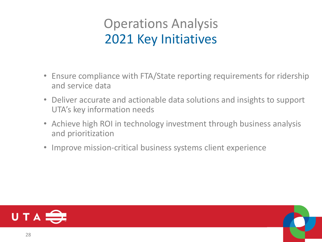### Operations Analysis 2021 Key Initiatives

- Ensure compliance with FTA/State reporting requirements for ridership and service data
- Deliver accurate and actionable data solutions and insights to support UTA's key information needs
- Achieve high ROI in technology investment through business analysis and prioritization
- Improve mission-critical business systems client experience

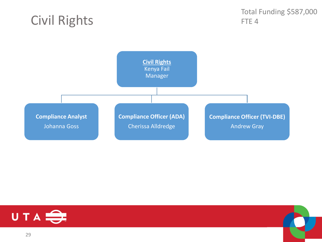#### Civil Rights

Total Funding \$587,000 FTE<sub>4</sub>





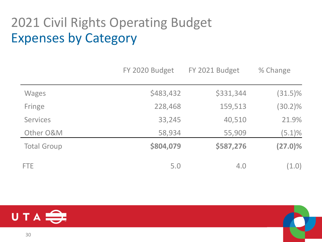## 2021 Civil Rights Operating Budget Expenses by Category

|                    | FY 2020 Budget | FY 2021 Budget | % Change   |
|--------------------|----------------|----------------|------------|
| <b>Wages</b>       | \$483,432      | \$331,344      | $(31.5)\%$ |
| Fringe             | 228,468        | 159,513        | $(30.2)\%$ |
| <b>Services</b>    | 33,245         | 40,510         | 21.9%      |
| Other O&M          | 58,934         | 55,909         | $(5.1)\%$  |
| <b>Total Group</b> | \$804,079      | \$587,276      | $(27.0)\%$ |
| <b>FTE</b>         | 5.0            | 4.0            | (1.0)      |

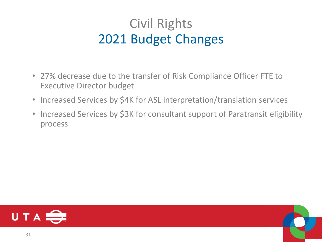### Civil Rights 2021 Budget Changes

- 27% decrease due to the transfer of Risk Compliance Officer FTE to Executive Director budget
- Increased Services by \$4K for ASL interpretation/translation services
- Increased Services by \$3K for consultant support of Paratransit eligibility process

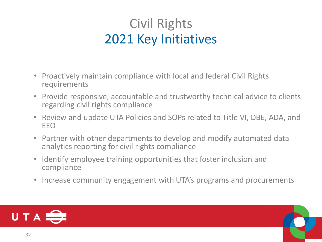### Civil Rights 2021 Key Initiatives

- Proactively maintain compliance with local and federal Civil Rights requirements
- Provide responsive, accountable and trustworthy technical advice to clients regarding civil rights compliance
- Review and update UTA Policies and SOPs related to Title VI, DBE, ADA, and EEO
- Partner with other departments to develop and modify automated data analytics reporting for civil rights compliance
- Identify employee training opportunities that foster inclusion and compliance
- Increase community engagement with UTA's programs and procurements

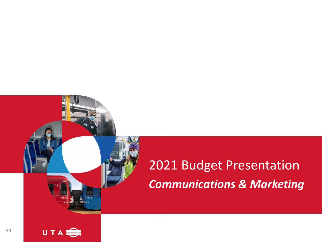# 2021 Budget Presentation *Communications & Marketing*

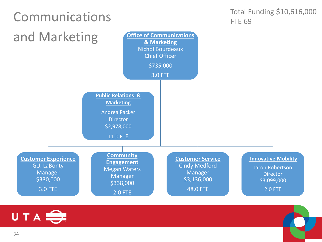

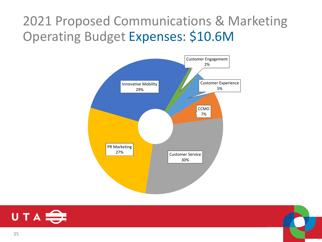### 2021 Proposed Communications & Marketing Operating Budget Expenses: \$10.6M





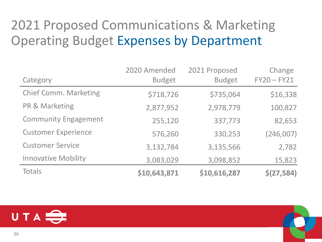### 2021 Proposed Communications & Marketing Operating Budget Expenses by Department

| Category                     | 2020 Amended<br><b>Budget</b> | 2021 Proposed<br><b>Budget</b> | Change<br>$FY20 - FY21$ |
|------------------------------|-------------------------------|--------------------------------|-------------------------|
| <b>Chief Comm. Marketing</b> | \$718,726                     | \$735,064                      | \$16,338                |
| PR & Marketing               | 2,877,952                     | 2,978,779                      | 100,827                 |
| <b>Community Engagement</b>  | 255,120                       | 337,773                        | 82,653                  |
| <b>Customer Experience</b>   | 576,260                       | 330,253                        | (246,007)               |
| <b>Customer Service</b>      | 3,132,784                     | 3,135,566                      | 2,782                   |
| <b>Innovative Mobility</b>   | 3,083,029                     | 3,098,852                      | 15,823                  |
| <b>Totals</b>                | \$10,643,871                  | \$10,616,287                   | \$(27,584)              |

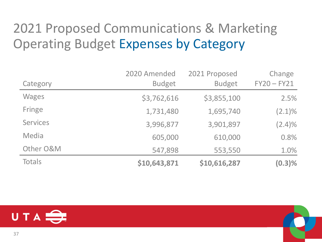## 2021 Proposed Communications & Marketing Operating Budget Expenses by Category

|                 | 2020 Amended  | 2021 Proposed | Change        |
|-----------------|---------------|---------------|---------------|
| Category        | <b>Budget</b> | <b>Budget</b> | $FY20 - FY21$ |
| <b>Wages</b>    | \$3,762,616   | \$3,855,100   | 2.5%          |
| Fringe          | 1,731,480     | 1,695,740     | $(2.1)\%$     |
| <b>Services</b> | 3,996,877     | 3,901,897     | $(2.4)\%$     |
| Media           | 605,000       | 610,000       | 0.8%          |
| Other O&M       | 547,898       | 553,550       | 1.0%          |
| Totals          | \$10,643,871  | \$10,616,287  | (0.3)%        |

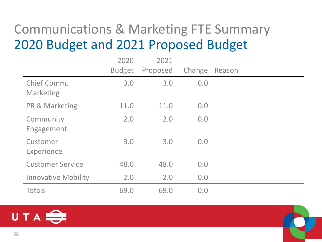#### Communications & Marketing FTE Summary 2020 Budget and 2021 Proposed Budget

|                            | 2020          | 2021     |        |        |
|----------------------------|---------------|----------|--------|--------|
|                            | <b>Budget</b> | Proposed | Change | Reason |
| Chief Comm.<br>Marketing   | 3.0           | 3.0      | 0.0    |        |
| <b>PR &amp; Marketing</b>  | 11.0          | 11.0     | 0.0    |        |
| Community<br>Engagement    | 2.0           | 2.0      | 0.0    |        |
| Customer<br>Experience     | 3.0           | 3.0      | 0.0    |        |
| <b>Customer Service</b>    | 48.0          | 48.0     | 0.0    |        |
| <b>Innovative Mobility</b> | 2.0           | 2.0      | 0.0    |        |
| <b>Totals</b>              | 69.0          | 69.0     | 0.0    |        |

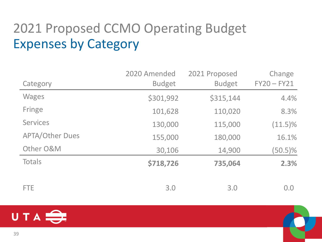## 2021 Proposed CCMO Operating Budget Expenses by Category

|                        | 2020 Amended  | 2021 Proposed | Change        |
|------------------------|---------------|---------------|---------------|
| Category               | <b>Budget</b> | <b>Budget</b> | $FY20 - FY21$ |
| <b>Wages</b>           | \$301,992     | \$315,144     | 4.4%          |
| Fringe                 | 101,628       | 110,020       | 8.3%          |
| <b>Services</b>        | 130,000       | 115,000       | $(11.5)\%$    |
| <b>APTA/Other Dues</b> | 155,000       | 180,000       | 16.1%         |
| Other O&M              | 30,106        | 14,900        | $(50.5)\%$    |
| <b>Totals</b>          | \$718,726     | 735,064       | 2.3%          |
|                        |               |               |               |
| <b>FTE</b>             | 3.0           | 3.0           | 0.0           |

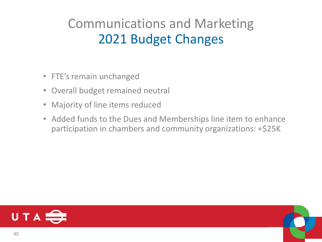## Communications and Marketing 2021 Budget Changes

- FTE's remain unchanged
- Overall budget remained neutral
- Majority of line items reduced
- Added funds to the Dues and Memberships line item to enhance participation in chambers and community organizations: +\$25K

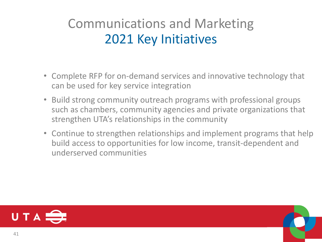#### Communications and Marketing 2021 Key Initiatives

- Complete RFP for on-demand services and innovative technology that can be used for key service integration
- Build strong community outreach programs with professional groups such as chambers, community agencies and private organizations that strengthen UTA's relationships in the community
- Continue to strengthen relationships and implement programs that help build access to opportunities for low income, transit-dependent and underserved communities



41

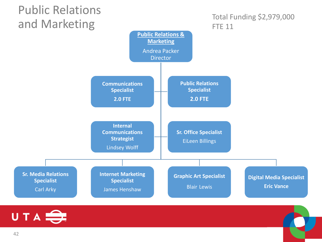

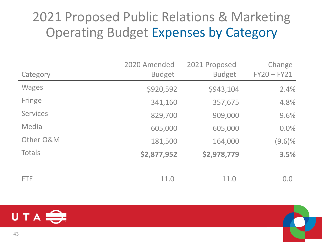#### 2021 Proposed Public Relations & Marketing Operating Budget Expenses by Category

|                 | 2020 Amended  | 2021 Proposed | Change        |
|-----------------|---------------|---------------|---------------|
| Category        | <b>Budget</b> | <b>Budget</b> | $FY20 - FY21$ |
| <b>Wages</b>    | \$920,592     | \$943,104     | 2.4%          |
| Fringe          | 341,160       | 357,675       | 4.8%          |
| <b>Services</b> | 829,700       | 909,000       | 9.6%          |
| Media           | 605,000       | 605,000       | 0.0%          |
| Other O&M       | 181,500       | 164,000       | $(9.6)\%$     |
| <b>Totals</b>   | \$2,877,952   | \$2,978,779   | 3.5%          |
|                 |               |               |               |
| <b>FTE</b>      | 11.0          | 11.0          | 0.0           |

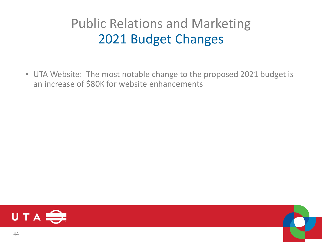#### Public Relations and Marketing 2021 Budget Changes

• UTA Website: The most notable change to the proposed 2021 budget is an increase of \$80K for website enhancements

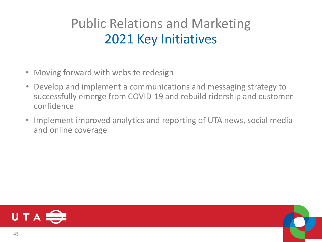#### Public Relations and Marketing 2021 Key Initiatives

- Moving forward with website redesign
- Develop and implement a communications and messaging strategy to successfully emerge from COVID-19 and rebuild ridership and customer confidence
- Implement improved analytics and reporting of UTA news, social media and online coverage

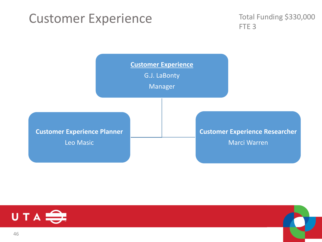#### Customer Experience

Total Funding \$330,000 FTE<sub>3</sub>





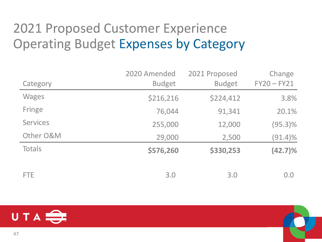## 2021 Proposed Customer Experience Operating Budget Expenses by Category

|                 | 2020 Amended  | 2021 Proposed | Change        |
|-----------------|---------------|---------------|---------------|
| Category        | <b>Budget</b> | <b>Budget</b> | $FY20 - FY21$ |
| <b>Wages</b>    | \$216,216     | \$224,412     | 3.8%          |
| Fringe          | 76,044        | 91,341        | 20.1%         |
| <b>Services</b> | 255,000       | 12,000        | $(95.3)\%$    |
| Other O&M       | 29,000        | 2,500         | $(91.4)\%$    |
| Totals          | \$576,260     | \$330,253     | $(42.7)\%$    |
| FTE.            | 3.0           | 3.0           | 0.0           |

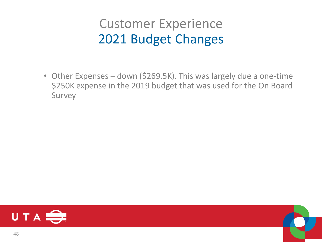#### Customer Experience 2021 Budget Changes

• Other Expenses – down (\$269.5K). This was largely due a one-time \$250K expense in the 2019 budget that was used for the On Board Survey



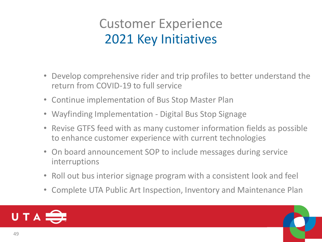#### Customer Experience 2021 Key Initiatives

- Develop comprehensive rider and trip profiles to better understand the return from COVID-19 to full service
- Continue implementation of Bus Stop Master Plan
- Wayfinding Implementation Digital Bus Stop Signage
- Revise GTFS feed with as many customer information fields as possible to enhance customer experience with current technologies
- On board announcement SOP to include messages during service interruptions
- Roll out bus interior signage program with a consistent look and feel
- Complete UTA Public Art Inspection, Inventory and Maintenance Plan



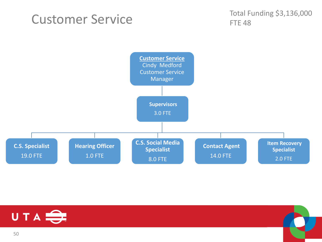#### Customer Service

Total Funding \$3,136,000 **FTE 48** 



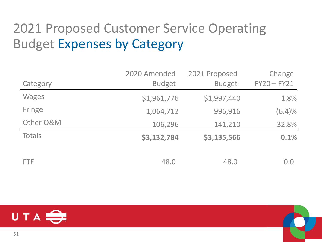## 2021 Proposed Customer Service Operating Budget Expenses by Category

|               | 2020 Amended  | 2021 Proposed | Change        |
|---------------|---------------|---------------|---------------|
| Category      | <b>Budget</b> | <b>Budget</b> | $FY20 - FY21$ |
| <b>Wages</b>  | \$1,961,776   | \$1,997,440   | 1.8%          |
| Fringe        | 1,064,712     | 996,916       | (6.4)%        |
| Other O&M     | 106,296       | 141,210       | 32.8%         |
| <b>Totals</b> | \$3,132,784   | \$3,135,566   | 0.1%          |
| <b>FTE</b>    | 48.0          | 48.0          | 0.0           |

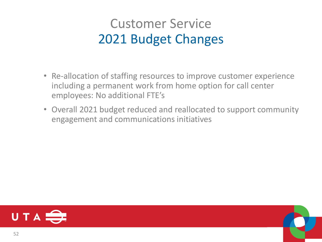#### Customer Service 2021 Budget Changes

- Re-allocation of staffing resources to improve customer experience including a permanent work from home option for call center employees: No additional FTE's
- Overall 2021 budget reduced and reallocated to support community engagement and communications initiatives

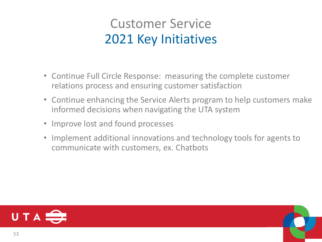#### Customer Service 2021 Key Initiatives

- Continue Full Circle Response: measuring the complete customer relations process and ensuring customer satisfaction
- Continue enhancing the Service Alerts program to help customers make informed decisions when navigating the UTA system
- Improve lost and found processes
- Implement additional innovations and technology tools for agents to communicate with customers, ex. Chatbots

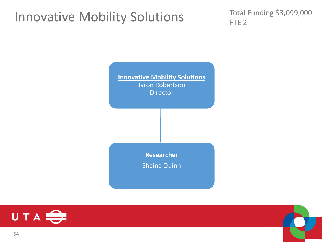#### Innovative Mobility Solutions

Total Funding \$3,099,000 FTE<sub>2</sub>





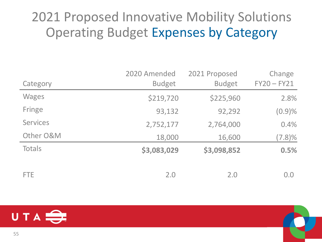#### 2021 Proposed Innovative Mobility Solutions Operating Budget Expenses by Category

|                 | 2020 Amended  | 2021 Proposed | Change        |
|-----------------|---------------|---------------|---------------|
| Category        | <b>Budget</b> | <b>Budget</b> | $FY20 - FY21$ |
| <b>Wages</b>    | \$219,720     | \$225,960     | 2.8%          |
| Fringe          | 93,132        | 92,292        | (0.9)%        |
| <b>Services</b> | 2,752,177     | 2,764,000     | 0.4%          |
| Other O&M       | 18,000        | 16,600        | $(7.8)\%$     |
| Totals          | \$3,083,029   | \$3,098,852   | 0.5%          |
| FTE.            | 2.0           | 2.0           | 0.0           |

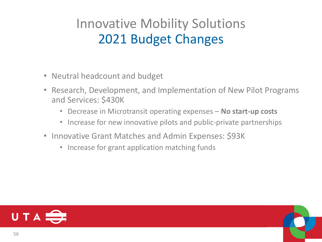## Innovative Mobility Solutions 2021 Budget Changes

- Neutral headcount and budget
- Research, Development, and Implementation of New Pilot Programs and Services: \$430K
	- Decrease in Microtransit operating expenses **No start-up costs**
	- Increase for new innovative pilots and public-private partnerships
- Innovative Grant Matches and Admin Expenses: \$93K
	- Increase for grant application matching funds

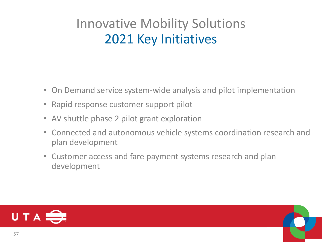## Innovative Mobility Solutions 2021 Key Initiatives

- On Demand service system-wide analysis and pilot implementation
- Rapid response customer support pilot
- AV shuttle phase 2 pilot grant exploration
- Connected and autonomous vehicle systems coordination research and plan development
- Customer access and fare payment systems research and plan development

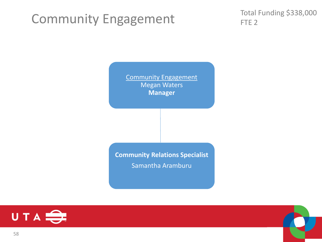#### Community Engagement

Total Funding \$338,000 FTE<sub>2</sub>

Community Engagement Megan Waters **Manager**

**Community Relations Specialist**  Samantha Aramburu



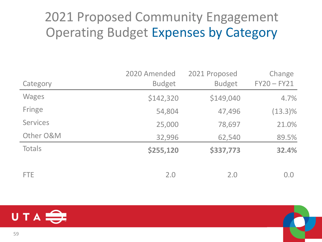#### 2021 Proposed Community Engagement Operating Budget Expenses by Category

|                 | 2020 Amended  | 2021 Proposed | Change        |
|-----------------|---------------|---------------|---------------|
| Category        | <b>Budget</b> | <b>Budget</b> | $FY20 - FY21$ |
| <b>Wages</b>    | \$142,320     | \$149,040     | 4.7%          |
| Fringe          | 54,804        | 47,496        | $(13.3)\%$    |
| <b>Services</b> | 25,000        | 78,697        | 21.0%         |
| Other O&M       | 32,996        | 62,540        | 89.5%         |
| Totals          | \$255,120     | \$337,773     | 32.4%         |
| FTE.            | 2.0           | 2.0           | 0.0           |

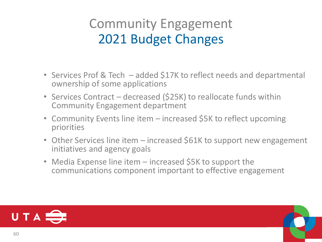#### Community Engagement 2021 Budget Changes

- Services Prof & Tech added \$17K to reflect needs and departmental ownership of some applications
- Services Contract decreased (\$25K) to reallocate funds within Community Engagement department
- Community Events line item increased \$5K to reflect upcoming priorities
- Other Services line item increased \$61K to support new engagement initiatives and agency goals
- Media Expense line item increased \$5K to support the communications component important to effective engagement

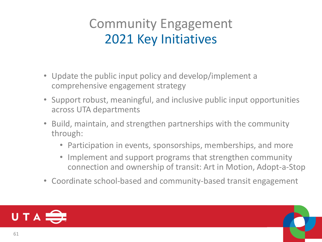#### Community Engagement 2021 Key Initiatives

- Update the public input policy and develop/implement a comprehensive engagement strategy
- Support robust, meaningful, and inclusive public input opportunities across UTA departments
- Build, maintain, and strengthen partnerships with the community through:
	- Participation in events, sponsorships, memberships, and more
	- Implement and support programs that strengthen community connection and ownership of transit: Art in Motion, Adopt-a-Stop
- Coordinate school-based and community-based transit engagement

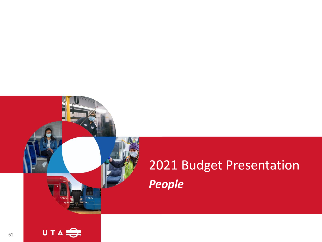# 2021 Budget Presentation *People*

62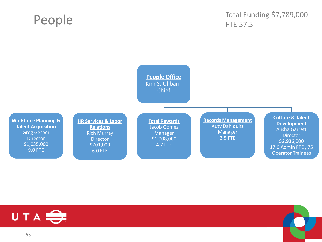#### People

#### Total Funding \$7,789,000 FTE 57.5



63

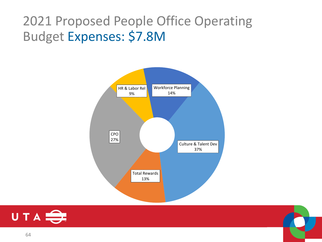#### 2021 Proposed People Office Operating Budget Expenses: \$7.8M





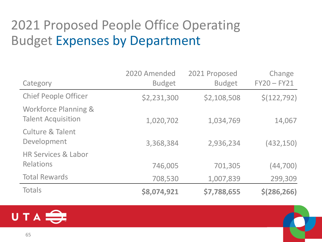## 2021 Proposed People Office Operating Budget Expenses by Department

| Category                                                     | 2020 Amended<br><b>Budget</b> | 2021 Proposed<br><b>Budget</b> | Change<br>$FY20 - FY21$ |
|--------------------------------------------------------------|-------------------------------|--------------------------------|-------------------------|
| <b>Chief People Officer</b>                                  | \$2,231,300                   | \$2,108,508                    | \$(122, 792)            |
| <b>Workforce Planning &amp;</b><br><b>Talent Acquisition</b> | 1,020,702                     | 1,034,769                      | 14,067                  |
| <b>Culture &amp; Talent</b><br>Development                   | 3,368,384                     | 2,936,234                      | (432, 150)              |
| <b>HR Services &amp; Labor</b>                               |                               |                                |                         |
| <b>Relations</b>                                             | 746,005                       | 701,305                        | (44, 700)               |
| <b>Total Rewards</b>                                         | 708,530                       | 1,007,839                      | 299,309                 |
| <b>Totals</b>                                                | \$8,074,921                   | \$7,788,655                    | \$(286, 266)            |

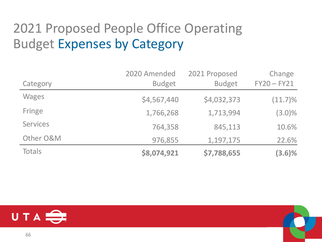## 2021 Proposed People Office Operating Budget Expenses by Category

|                 | 2020 Amended  | 2021 Proposed | Change        |
|-----------------|---------------|---------------|---------------|
| Category        | <b>Budget</b> | <b>Budget</b> | $FY20 - FY21$ |
| <b>Wages</b>    | \$4,567,440   | \$4,032,373   | $(11.7)\%$    |
| Fringe          | 1,766,268     | 1,713,994     | $(3.0)\%$     |
| <b>Services</b> | 764,358       | 845,113       | 10.6%         |
| Other O&M       | 976,855       | 1,197,175     | 22.6%         |
| Totals          | \$8,074,921   | \$7,788,655   | $(3.6)\%$     |



66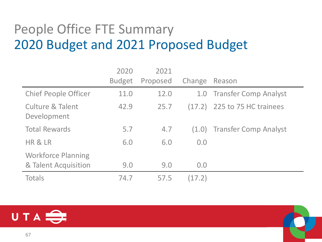## People Office FTE Summary 2020 Budget and 2021 Proposed Budget

|                                            | 2020          | 2021     |        |                              |
|--------------------------------------------|---------------|----------|--------|------------------------------|
|                                            | <b>Budget</b> | Proposed | Change | Reason                       |
| <b>Chief People Officer</b>                | 11.0          | 12.0     |        | 1.0 Transfer Comp Analyst    |
| <b>Culture &amp; Talent</b><br>Development | 42.9          | 25.7     |        | (17.2) 225 to 75 HC trainees |
| <b>Total Rewards</b>                       | 5.7           | 4.7      |        | (1.0) Transfer Comp Analyst  |
| HR & LR                                    | 6.0           | 6.0      | 0.0    |                              |
| <b>Workforce Planning</b>                  |               |          |        |                              |
| & Talent Acquisition                       | 9.0           | 9.0      | 0.0    |                              |
| <b>Totals</b>                              | 74.7          | 57.5     | (17.2) |                              |

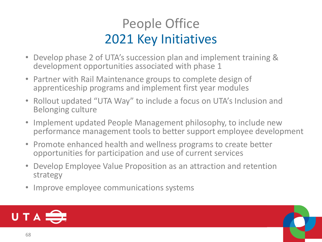## People Office 2021 Key Initiatives

- Develop phase 2 of UTA's succession plan and implement training & development opportunities associated with phase 1
- Partner with Rail Maintenance groups to complete design of apprenticeship programs and implement first year modules
- Rollout updated "UTA Way" to include a focus on UTA's Inclusion and Belonging culture
- Implement updated People Management philosophy, to include new performance management tools to better support employee development
- Promote enhanced health and wellness programs to create better opportunities for participation and use of current services
- Develop Employee Value Proposition as an attraction and retention strategy
- Improve employee communications systems

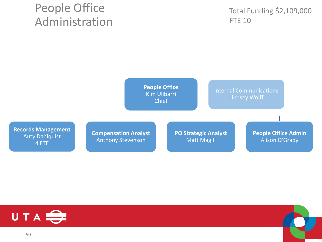#### People Office Administration

Total Funding \$2,109,000 FTE 10





69

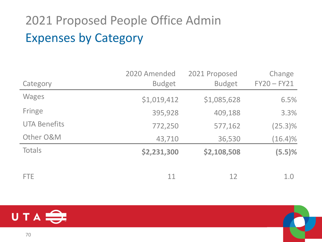# 2021 Proposed People Office Admin Expenses by Category

|                     | 2020 Amended  | 2021 Proposed | Change        |
|---------------------|---------------|---------------|---------------|
| Category            | <b>Budget</b> | <b>Budget</b> | $FY20 - FY21$ |
| <b>Wages</b>        | \$1,019,412   | \$1,085,628   | 6.5%          |
| Fringe              | 395,928       | 409,188       | 3.3%          |
| <b>UTA Benefits</b> | 772,250       | 577,162       | $(25.3)\%$    |
| Other O&M           | 43,710        | 36,530        | $(16.4)\%$    |
| Totals              | \$2,231,300   | \$2,108,508   | (5.5)%        |
| <b>FTE</b>          | 11            | 12            | 1.0           |

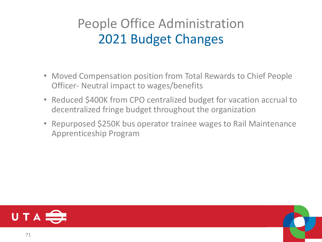## People Office Administration 2021 Budget Changes

- Moved Compensation position from Total Rewards to Chief People Officer- Neutral impact to wages/benefits
- Reduced \$400K from CPO centralized budget for vacation accrual to decentralized fringe budget throughout the organization
- Repurposed \$250K bus operator trainee wages to Rail Maintenance Apprenticeship Program

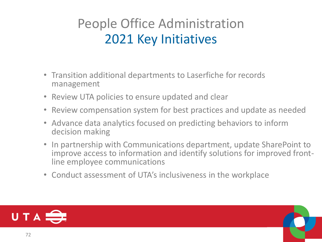## People Office Administration 2021 Key Initiatives

- Transition additional departments to Laserfiche for records management
- Review UTA policies to ensure updated and clear
- Review compensation system for best practices and update as needed
- Advance data analytics focused on predicting behaviors to inform decision making
- In partnership with Communications department, update SharePoint to improve access to information and identify solutions for improved frontline employee communications
- Conduct assessment of UTA's inclusiveness in the workplace

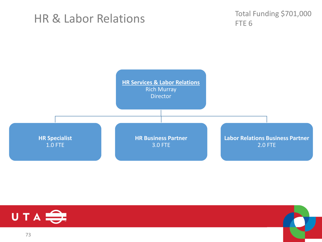#### HR & Labor Relations

Total Funding \$701,000 FTE<sub>6</sub>





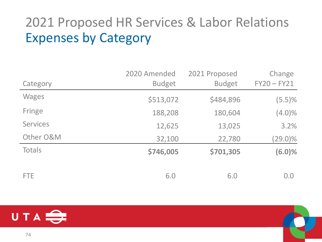## 2021 Proposed HR Services & Labor Relations Expenses by Category

|                 | 2020 Amended  | 2021 Proposed | Change        |
|-----------------|---------------|---------------|---------------|
| Category        | <b>Budget</b> | <b>Budget</b> | $FY20 - FY21$ |
| <b>Wages</b>    | \$513,072     | \$484,896     | (5.5)%        |
| Fringe          | 188,208       | 180,604       | $(4.0)\%$     |
| <b>Services</b> | 12,625        | 13,025        | 3.2%          |
| Other O&M       | 32,100        | 22,780        | $(29.0)\%$    |
| Totals          | \$746,005     | \$701,305     | (6.0)%        |
| FTE.            | 6.0           | 6.0           | 0.0           |

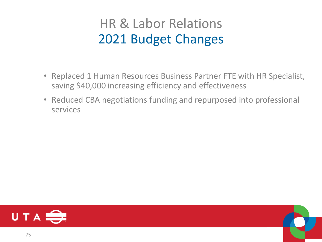### HR & Labor Relations 2021 Budget Changes

- Replaced 1 Human Resources Business Partner FTE with HR Specialist, saving \$40,000 increasing efficiency and effectiveness
- Reduced CBA negotiations funding and repurposed into professional services

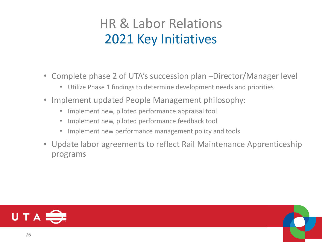### HR & Labor Relations 2021 Key Initiatives

- Complete phase 2 of UTA's succession plan –Director/Manager level
	- Utilize Phase 1 findings to determine development needs and priorities
- Implement updated People Management philosophy:
	- Implement new, piloted performance appraisal tool
	- Implement new, piloted performance feedback tool
	- Implement new performance management policy and tools
- Update labor agreements to reflect Rail Maintenance Apprenticeship programs

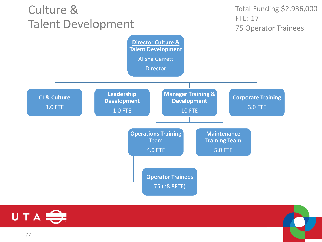#### Culture & Talent Development

Total Funding \$2,936,000 FTE: 17 75 Operator Trainees



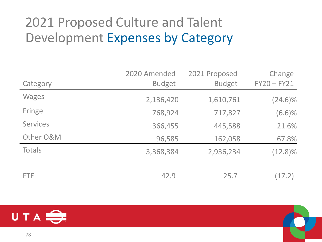## 2021 Proposed Culture and Talent Development Expenses by Category

|                 | 2020 Amended  | 2021 Proposed | Change        |
|-----------------|---------------|---------------|---------------|
| Category        | <b>Budget</b> | <b>Budget</b> | $FY20 - FY21$ |
| <b>Wages</b>    | 2,136,420     | 1,610,761     | $(24.6)\%$    |
| Fringe          | 768,924       | 717,827       | (6.6)%        |
| <b>Services</b> | 366,455       | 445,588       | 21.6%         |
| Other O&M       | 96,585        | 162,058       | 67.8%         |
| Totals          | 3,368,384     | 2,936,234     | $(12.8)\%$    |
| <b>FTE</b>      | 42.9          | 25.7          | (17.2)        |

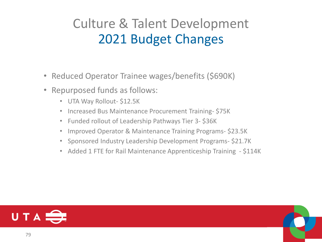### Culture & Talent Development 2021 Budget Changes

- Reduced Operator Trainee wages/benefits (\$690K)
- Repurposed funds as follows:
	- UTA Way Rollout- \$12.5K
	- Increased Bus Maintenance Procurement Training- \$75K
	- Funded rollout of Leadership Pathways Tier 3- \$36K
	- Improved Operator & Maintenance Training Programs- \$23.5K
	- Sponsored Industry Leadership Development Programs- \$21.7K
	- Added 1 FTE for Rail Maintenance Apprenticeship Training \$114K

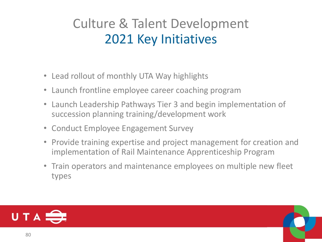### Culture & Talent Development 2021 Key Initiatives

- Lead rollout of monthly UTA Way highlights
- Launch frontline employee career coaching program
- Launch Leadership Pathways Tier 3 and begin implementation of succession planning training/development work
- Conduct Employee Engagement Survey
- Provide training expertise and project management for creation and implementation of Rail Maintenance Apprenticeship Program
- Train operators and maintenance employees on multiple new fleet types

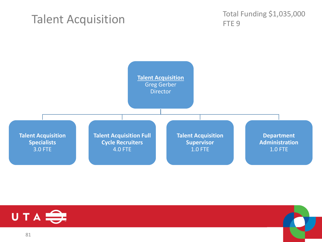#### Talent Acquisition

Total Funding \$1,035,000 FTE<sub>9</sub>





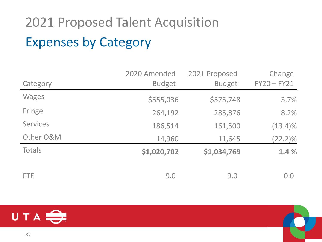# 2021 Proposed Talent Acquisition Expenses by Category

|                 | 2020 Amended  | 2021 Proposed | Change        |
|-----------------|---------------|---------------|---------------|
| Category        | <b>Budget</b> | <b>Budget</b> | $FY20 - FY21$ |
| <b>Wages</b>    | \$555,036     | \$575,748     | 3.7%          |
| Fringe          | 264,192       | 285,876       | 8.2%          |
| <b>Services</b> | 186,514       | 161,500       | $(13.4)\%$    |
| Other O&M       | 14,960        | 11,645        | $(22.2)\%$    |
| Totals          | \$1,020,702   | \$1,034,769   | 1.4 %         |
| <b>FTE</b>      | 9.0           | 9.0           | 0.0           |

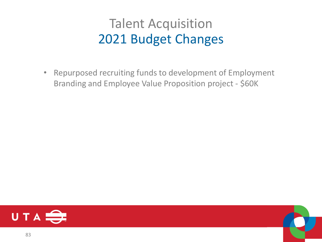### Talent Acquisition 2021 Budget Changes

• Repurposed recruiting funds to development of Employment Branding and Employee Value Proposition project - \$60K



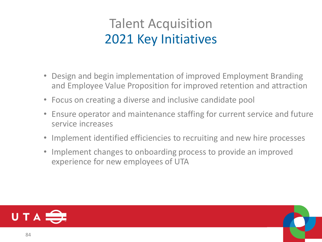### Talent Acquisition 2021 Key Initiatives

- Design and begin implementation of improved Employment Branding and Employee Value Proposition for improved retention and attraction
- Focus on creating a diverse and inclusive candidate pool
- Ensure operator and maintenance staffing for current service and future service increases
- Implement identified efficiencies to recruiting and new hire processes
- Implement changes to onboarding process to provide an improved experience for new employees of UTA

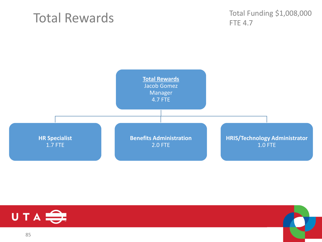### Total Rewards

Total Funding \$1,008,000 FTE 4.7





85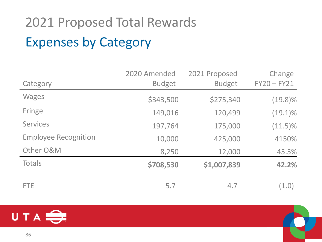# 2021 Proposed Total Rewards Expenses by Category

|                             | 2020 Amended  | 2021 Proposed | Change        |
|-----------------------------|---------------|---------------|---------------|
| Category                    | <b>Budget</b> | <b>Budget</b> | $FY20 - FY21$ |
| <b>Wages</b>                | \$343,500     | \$275,340     | $(19.8)\%$    |
| Fringe                      | 149,016       | 120,499       | $(19.1)\%$    |
| <b>Services</b>             | 197,764       | 175,000       | $(11.5)\%$    |
| <b>Employee Recognition</b> | 10,000        | 425,000       | 4150%         |
| Other O&M                   | 8,250         | 12,000        | 45.5%         |
| Totals                      | \$708,530     | \$1,007,839   | 42.2%         |
| <b>FTE</b>                  | 5.7           | 4.7           | (1.0)         |

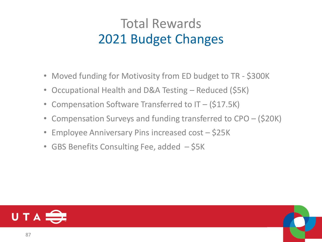### Total Rewards 2021 Budget Changes

- Moved funding for Motivosity from ED budget to TR \$300K
- Occupational Health and D&A Testing Reduced (\$5K)
- Compensation Software Transferred to IT (\$17.5K)
- Compensation Surveys and funding transferred to CPO (\$20K)
- Employee Anniversary Pins increased cost \$25K
- GBS Benefits Consulting Fee, added \$5K